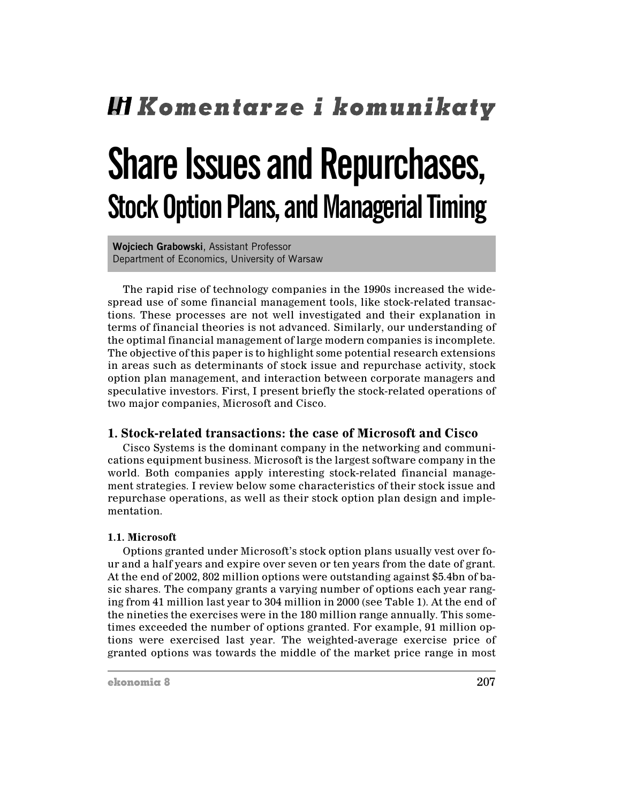# **Hi Komentarze i komunikaty**

## **Share Issues and Repurchases, Stock Option Plans, and Managerial Timing**

Woiciech Grabowski, Assistant Professor Department of Economics, University of Warsaw

The rapid rise of technology companies in the 1990s increased the widespread use of some financial management tools, like stock-related transactions. These processes are not well investigated and their explanation in terms of financial theories is not advanced. Similarly, our understanding of the optimal financial management of large modern companies is incomplete. The objective of this paper is to highlight some potential research extensions in areas such as determinants of stock issue and repurchase activity, stock option plan management, and interaction between corporate managers and speculative investors. First, I present briefly the stock-related operations of two major companies, Microsoft and Cisco.

## 1. Stock-related transactions: the case of Microsoft and Cisco

Cisco Systems is the dominant company in the networking and communications equipment business. Microsoft is the largest software company in the world. Both companies apply interesting stock-related financial management strategies. I review below some characteristics of their stock issue and repurchase operations, as well as their stock option plan design and implementation.

## 1.1. Microsoft

Options granted under Microsoft's stock option plans usually vest over four and a half years and expire over seven or ten years from the date of grant. At the end of 2002, 802 million options were outstanding against \$5.4bn of basic shares. The company grants a varying number of options each year ranging from 41 million last year to 304 million in 2000 (see Table 1). At the end of the nineties the exercises were in the 180 million range annually. This sometimes exceeded the number of options granted. For example, 91 million options were exercised last year. The weighted-average exercise price of granted options was towards the middle of the market price range in most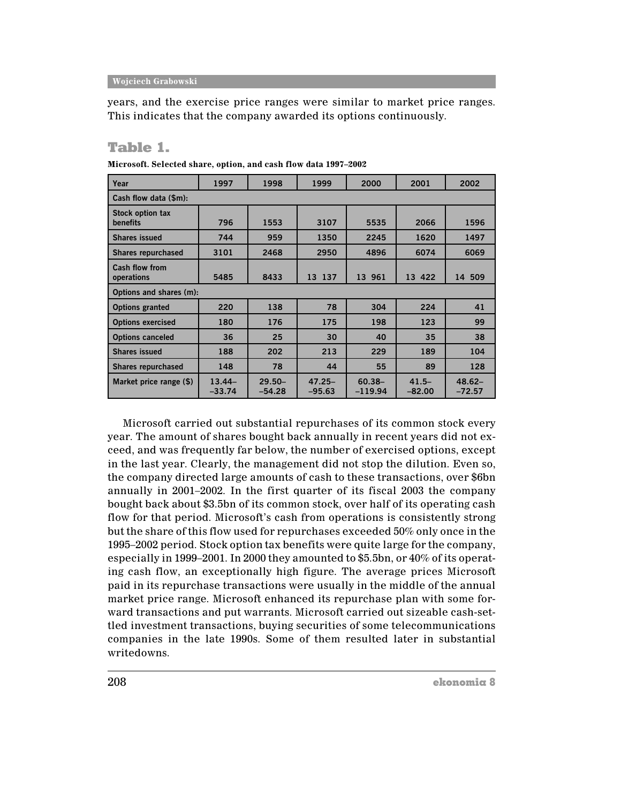years, and the exercise price ranges were similar to market price ranges. This indicates that the company awarded its options continuously.

## **Table 1.**

| Year                                | 1997                 | 1998                  | 1999                  | 2000                   | 2001                 | 2002                  |  |  |  |  |  |  |
|-------------------------------------|----------------------|-----------------------|-----------------------|------------------------|----------------------|-----------------------|--|--|--|--|--|--|
| Cash flow data (\$m):               |                      |                       |                       |                        |                      |                       |  |  |  |  |  |  |
| Stock option tax<br><b>benefits</b> | 796                  | 1553                  | 3107                  | 5535                   | 2066                 | 1596                  |  |  |  |  |  |  |
| <b>Shares issued</b>                | 744                  | 959                   | 1350                  | 2245                   | 1620                 | 1497                  |  |  |  |  |  |  |
| <b>Shares repurchased</b>           | 3101                 | 2468                  | 2950                  | 4896                   | 6074                 | 6069                  |  |  |  |  |  |  |
| Cash flow from<br>operations        | 5485                 | 8433                  | 13 137                | 13 961                 | 13 422               | 14 509                |  |  |  |  |  |  |
| Options and shares (m):             |                      |                       |                       |                        |                      |                       |  |  |  |  |  |  |
| <b>Options granted</b>              | 220                  | 138                   | 78                    | 304                    | 224                  | 41                    |  |  |  |  |  |  |
| <b>Options exercised</b>            | 180                  | 176                   | 175                   | 198                    | 123                  | 99                    |  |  |  |  |  |  |
| <b>Options canceled</b>             | 36                   | 25                    | 30                    | 40                     | 35                   | 38                    |  |  |  |  |  |  |
| <b>Shares issued</b>                | 188                  | 202                   | 213                   | 229                    | 189                  | 104                   |  |  |  |  |  |  |
| <b>Shares repurchased</b>           | 148                  | 78                    | 44                    | 55                     | 89                   | 128                   |  |  |  |  |  |  |
| Market price range (\$)             | $13.44-$<br>$-33.74$ | $29.50 -$<br>$-54.28$ | $47.25 -$<br>$-95.63$ | $60.38 -$<br>$-119.94$ | $41.5 -$<br>$-82.00$ | $48.62 -$<br>$-72.57$ |  |  |  |  |  |  |

Microsoft. Selected share, option, and cash flow data 1997-2002

Microsoft carried out substantial repurchases of its common stock every year. The amount of shares bought back annually in recent years did not exceed, and was frequently far below, the number of exercised options, except in the last year. Clearly, the management did not stop the dilution. Even so, the company directed large amounts of cash to these transactions, over \$6bn annually in 2001–2002. In the first quarter of its fiscal 2003 the company bought back about \$3.5bn of its common stock, over half of its operating cash flow for that period. Microsoft's cash from operations is consistently strong but the share of this flow used for repurchases exceeded 50% only once in the 1995–2002 period. Stock option tax benefits were quite large for the company, especially in 1999–2001. In 2000 they amounted to \$5.5bn, or  $40\%$  of its operating cash flow, an exceptionally high figure. The average prices Microsoft paid in its repurchase transactions were usually in the middle of the annual market price range. Microsoft enhanced its repurchase plan with some forward transactions and put warrants. Microsoft carried out sizeable cash-settled investment transactions, buying securities of some telecommunications companies in the late 1990s. Some of them resulted later in substantial writedowns.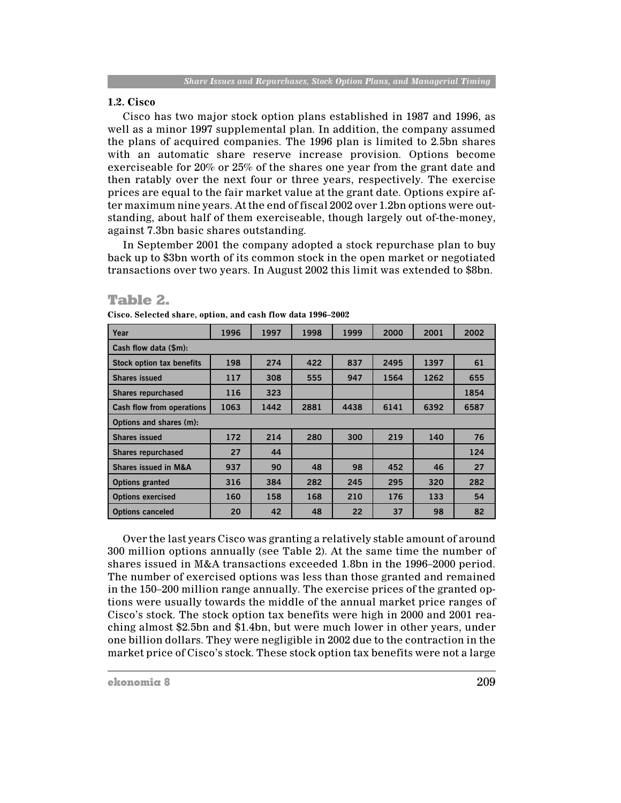## **1.2. Cisco**

Cisco has two major stock option plans established in 1987 and 1996, as well as a minor 1997 supplemental plan. In addition, the company assumed the plans of acquired companies. The 1996 plan is limited to 2.5bn shares with an automatic share reserve increase provision. Options become exerciseable for 20% or 25% of the shares one year from the grant date and then ratably over the next four or three years, respectively. The exercise prices are equal to the fair market value at the grant date. Options expire after maximum nine years. At the end of fiscal 2002 over 1.2bn options were outstanding, about half of them exerciseable, though largely out of-the-money, against 7.3bn basic shares outstanding.

In September 2001 the company adopted a stock repurchase plan to buy back up to \$3bn worth of its common stock in the open market or negotiated transactions over two years. In August 2002 this limit was extended to \$8bn.

## **Table 2.**

| Year                             | 1996 | 1997 | 1998 | 1999 | 2000 | 2001 | 2002 |  |  |  |  |
|----------------------------------|------|------|------|------|------|------|------|--|--|--|--|
| Cash flow data (\$m):            |      |      |      |      |      |      |      |  |  |  |  |
| <b>Stock option tax benefits</b> | 198  | 274  | 422  | 837  | 2495 | 1397 | 61   |  |  |  |  |
| <b>Shares issued</b>             | 117  | 308  | 555  | 947  | 1564 | 1262 | 655  |  |  |  |  |
| <b>Shares repurchased</b>        | 116  | 323  |      |      |      |      | 1854 |  |  |  |  |
| Cash flow from operations        | 1063 | 1442 | 2881 | 4438 | 6141 | 6392 | 6587 |  |  |  |  |
| Options and shares (m):          |      |      |      |      |      |      |      |  |  |  |  |
| <b>Shares issued</b>             | 172  | 214  | 280  | 300  | 219  | 140  | 76   |  |  |  |  |
| <b>Shares repurchased</b>        | 27   | 44   |      |      |      |      | 124  |  |  |  |  |
| <b>Shares issued in M&amp;A</b>  | 937  | 90   | 48   | 98   | 452  | 46   | 27   |  |  |  |  |
| <b>Options granted</b>           | 316  | 384  | 282  | 245  | 295  | 320  | 282  |  |  |  |  |
| <b>Options exercised</b>         | 160  | 158  | 168  | 210  | 176  | 133  | 54   |  |  |  |  |
| <b>Options canceled</b>          | 20   | 42   | 48   | 22   | 37   | 98   | 82   |  |  |  |  |

Cisco. Selected share, option, and cash flow data 1996-2002

Over the last years Cisco was granting a relatively stable amount of around 300 million options annually (see Table 2). At the same time the number of shares issued in M&A transactions exceeded 1.8bn in the 1996–2000 period. The number of exercised options was less than those granted and remained in the 150–200 million range annually. The exercise prices of the granted options were usually towards the middle of the annual market price ranges of Cisco's stock. The stock option tax benefits were high in 2000 and 2001 reaching almost \$2.5bn and \$1.4bn, but were much lower in other years, under one billion dollars. They were negligible in 2002 due to the contraction in the market price of Cisco's stock. These stock option tax benefits were not a large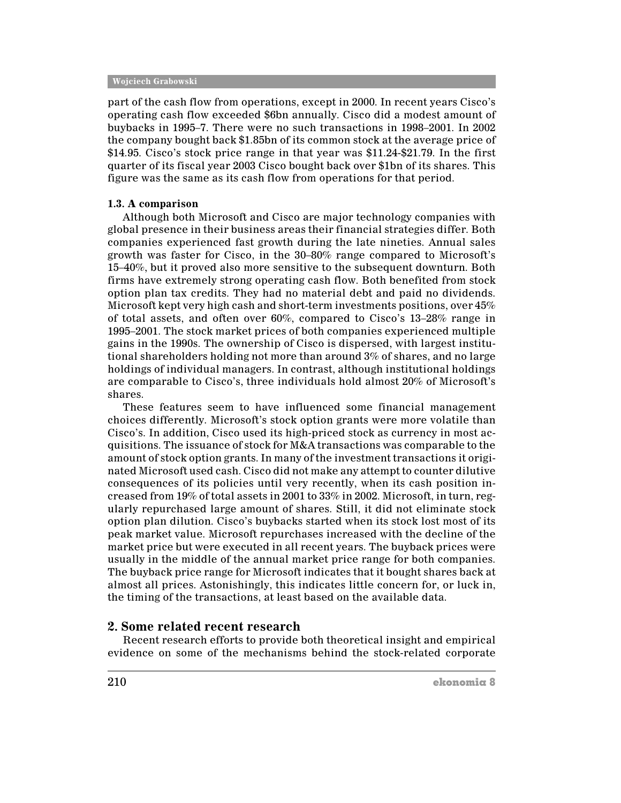part of the cash flow from operations, except in 2000. In recent years Cisco's operating cash flow exceeded \$6bn annually. Cisco did a modest amount of buybacks in 1995–7. There were no such transactions in 1998–2001. In 2002 the company bought back \$1.85bn of its common stock at the average price of \$14.95. Cisco's stock price range in that year was \$11.24-\$21.79. In the first quarter of its fiscal year 2003 Cisco bought back over \$1bn of its shares. This figure was the same as its cash flow from operations for that period.

#### 1.3. A comparison

Although both Microsoft and Cisco are major technology companies with global presence in their business areas their financial strategies differ. Both companies experienced fast growth during the late nineties. Annual sales growth was faster for Cisco, in the 30-80% range compared to Microsoft's 15–40%, but it proved also more sensitive to the subsequent downturn. Both firms have extremely strong operating cash flow. Both benefited from stock option plan tax credits. They had no material debt and paid no dividends. Microsoft kept very high cash and short-term investments positions, over 45% of total assets, and often over  $60\%$ , compared to Cisco's 13–28% range in 1995–2001. The stock market prices of both companies experienced multiple gains in the 1990s. The ownership of Cisco is dispersed, with largest institutional shareholders holding not more than around 3% of shares, and no large holdings of individual managers. In contrast, although institutional holdings are comparable to Cisco's, three individuals hold almost 20% of Microsoft's shares.

These features seem to have influenced some financial management choices differently. Microsoft's stock option grants were more volatile than Cisco's. In addition, Cisco used its high-priced stock as currency in most acquisitions. The issuance of stock for M&A transactions was comparable to the amount of stock option grants. In many of the investment transactions it originated Microsoft used cash. Cisco did not make any attempt to counter dilutive consequences of its policies until very recently, when its cash position increased from 19% of total assets in 2001 to 33% in 2002. Microsoft, in turn, regularly repurchased large amount of shares. Still, it did not eliminate stock option plan dilution. Cisco's buybacks started when its stock lost most of its peak market value. Microsoft repurchases increased with the decline of the market price but were executed in all recent years. The buyback prices were usually in the middle of the annual market price range for both companies. The buyback price range for Microsoft indicates that it bought shares back at almost all prices. Astonishingly, this indicates little concern for, or luck in, the timing of the transactions, at least based on the available data.

## 2. Some related recent research

Recent research efforts to provide both theoretical insight and empirical evidence on some of the mechanisms behind the stock-related corporate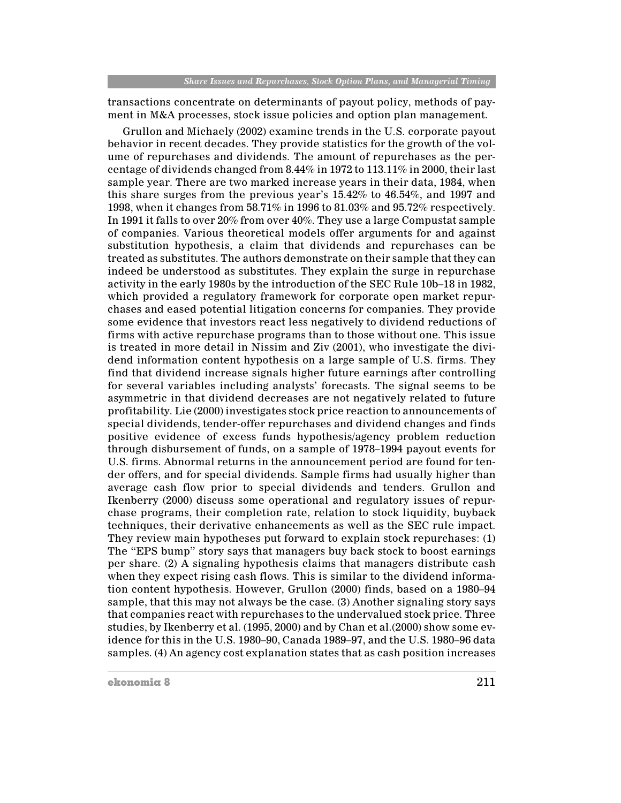transactions concentrate on determinants of payout policy, methods of payment in M&A processes, stock issue policies and option plan management.

Grullon and Michaely (2002) examine trends in the U.S. corporate payout behavior in recent decades. They provide statistics for the growth of the volume of repurchases and dividends. The amount of repurchases as the percentage of dividends changed from 8.44% in 1972 to 113.11% in 2000, their last sample year. There are two marked increase years in their data, 1984, when this share surges from the previous year's  $15.42\%$  to  $46.54\%$ , and 1997 and 1998, when it changes from 58.71% in 1996 to 81.03% and 95.72% respectively. In 1991 it falls to over 20% from over 40%. They use a large Compustat sample of companies. Various theoretical models offer arguments for and against substitution hypothesis, a claim that dividends and repurchases can be treated as substitutes. The authors demonstrate on their sample that they can indeed be understood as substitutes. They explain the surge in repurchase activity in the early 1980s by the introduction of the SEC Rule 10b-18 in 1982, which provided a regulatory framework for corporate open market repurchases and eased potential litigation concerns for companies. They provide some evidence that investors react less negatively to dividend reductions of firms with active repurchase programs than to those without one. This issue is treated in more detail in Nissim and Ziv (2001), who investigate the dividend information content hypothesis on a large sample of U.S. firms. They find that dividend increase signals higher future earnings after controlling for several variables including analysts' forecasts. The signal seems to be asymmetric in that dividend decreases are not negatively related to future profitability. Lie (2000) investigates stock price reaction to announcements of special dividends, tender-offer repurchases and dividend changes and finds positive evidence of excess funds hypothesis/agency problem reduction through disbursement of funds, on a sample of 1978–1994 payout events for U.S. firms. Abnormal returns in the announcement period are found for tender offers, and for special dividends. Sample firms had usually higher than average cash flow prior to special dividends and tenders. Grullon and Ikenberry (2000) discuss some operational and regulatory issues of repurchase programs, their completion rate, relation to stock liquidity, buyback techniques, their derivative enhancements as well as the SEC rule impact. They review main hypotheses put forward to explain stock repurchases: (1) The "EPS bump" story says that managers buy back stock to boost earnings per share. (2) A signaling hypothesis claims that managers distribute cash when they expect rising cash flows. This is similar to the dividend information content hypothesis. However, Grullon (2000) finds, based on a 1980–94 sample, that this may not always be the case. (3) Another signaling story says that companies react with repurchases to the undervalued stock price. Three studies, by Ikenberry et al. (1995, 2000) and by Chan et al. (2000) show some evidence for this in the U.S. 1980–90, Canada 1989–97, and the U.S. 1980–96 data samples. (4) An agency cost explanation states that as cash position increases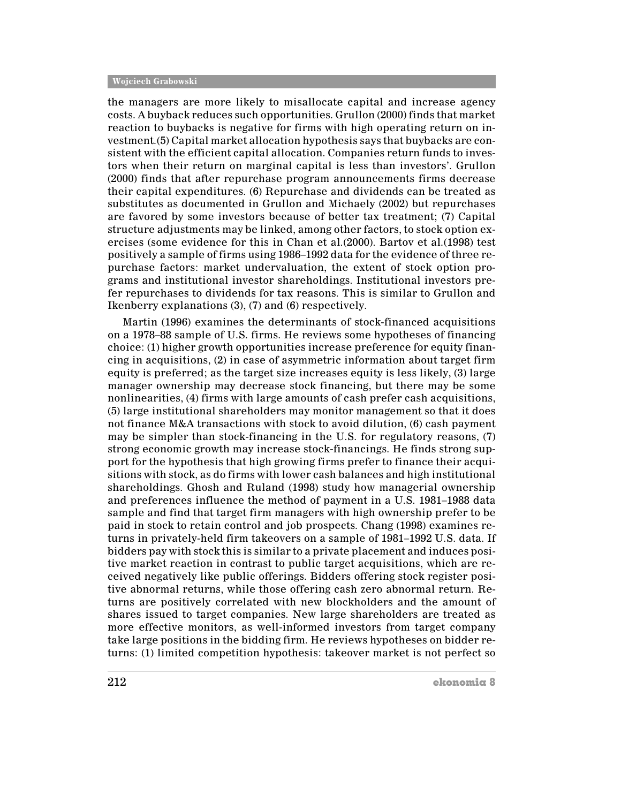the managers are more likely to misallocate capital and increase agency costs. A buyback reduces such opportunities. Grullon (2000) finds that market reaction to buybacks is negative for firms with high operating return on inyestment. (5) Capital market allocation hypothesis says that buybacks are consistent with the efficient capital allocation. Companies return funds to investors when their return on marginal capital is less than investors'. Grullon (2000) finds that after repurchase program announcements firms decrease their capital expenditures. (6) Repurchase and dividends can be treated as substitutes as documented in Grullon and Michaely (2002) but repurchases are favored by some investors because of better tax treatment; (7) Capital structure adjustments may be linked, among other factors, to stock option exercises (some evidence for this in Chan et al. (2000). Bartov et al. (1998) test positively a sample of firms using 1986–1992 data for the evidence of three repurchase factors: market undervaluation, the extent of stock option programs and institutional investor shareholdings. Institutional investors prefer repurchases to dividends for tax reasons. This is similar to Grullon and Ikenberry explanations  $(3)$ ,  $(7)$  and  $(6)$  respectively.

Martin (1996) examines the determinants of stock-financed acquisitions on a 1978–88 sample of U.S. firms. He reviews some hypotheses of financing choice: (1) higher growth opportunities increase preference for equity financing in acquisitions, (2) in case of asymmetric information about target firm equity is preferred; as the target size increases equity is less likely, (3) large manager ownership may decrease stock financing, but there may be some nonlinearities, (4) firms with large amounts of cash prefer cash acquisitions, (5) large institutional shareholders may monitor management so that it does not finance M&A transactions with stock to avoid dilution, (6) cash payment may be simpler than stock-financing in the U.S. for regulatory reasons, (7) strong economic growth may increase stock-financings. He finds strong support for the hypothesis that high growing firms prefer to finance their acquisitions with stock, as do firms with lower cash balances and high institutional shareholdings. Ghosh and Ruland (1998) study how managerial ownership and preferences influence the method of payment in a U.S. 1981–1988 data sample and find that target firm managers with high ownership prefer to be paid in stock to retain control and job prospects. Chang (1998) examines returns in privately-held firm takeovers on a sample of 1981–1992 U.S. data. If bidders pay with stock this is similar to a private placement and induces positive market reaction in contrast to public target acquisitions, which are received negatively like public offerings. Bidders offering stock register positive abnormal returns, while those offering cash zero abnormal return. Returns are positively correlated with new blockholders and the amount of shares issued to target companies. New large shareholders are treated as more effective monitors, as well-informed investors from target company take large positions in the bidding firm. He reviews hypotheses on bidder returns: (1) limited competition hypothesis: takeover market is not perfect so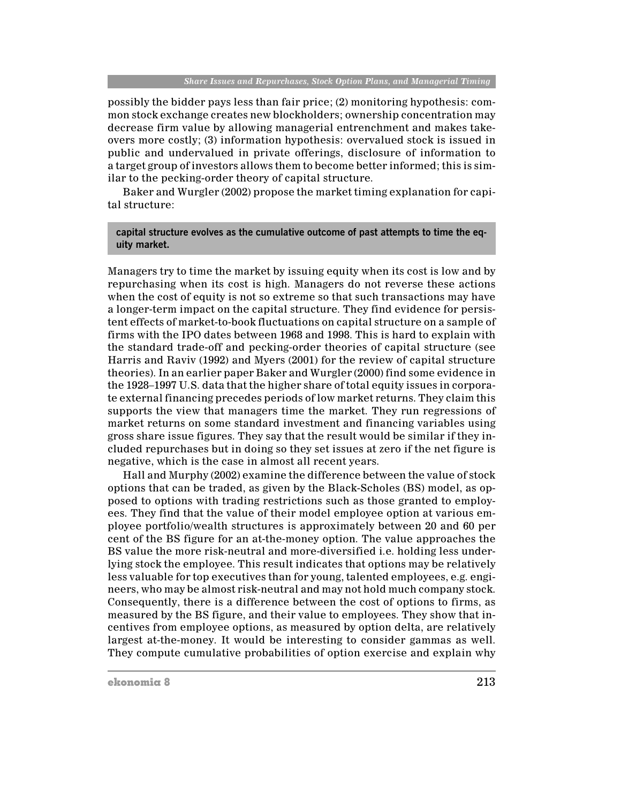possibly the bidder pays less than fair price; (2) monitoring hypothesis: common stock exchange creates new blockholders; ownership concentration may decrease firm value by allowing managerial entrenchment and makes takeovers more costly; (3) information hypothesis: overvalued stock is issued in public and undervalued in private offerings, disclosure of information to a target group of investors allows them to become better informed; this is similar to the pecking-order theory of capital structure.

Baker and Wurgler (2002) propose the market timing explanation for capital structure:

## capital structure evolves as the cumulative outcome of past attempts to time the equity market.

Managers try to time the market by issuing equity when its cost is low and by repurchasing when its cost is high. Managers do not reverse these actions when the cost of equity is not so extreme so that such transactions may have a longer-term impact on the capital structure. They find evidence for persistent effects of market-to-book fluctuations on capital structure on a sample of firms with the IPO dates between 1968 and 1998. This is hard to explain with the standard trade-off and pecking-order theories of capital structure (see Harris and Raviv (1992) and Myers (2001) for the review of capital structure theories). In an earlier paper Baker and Wurgler (2000) find some evidence in the 1928–1997 U.S. data that the higher share of total equity issues in corporate external financing precedes periods of low market returns. They claim this supports the view that managers time the market. They run regressions of market returns on some standard investment and financing variables using gross share issue figures. They say that the result would be similar if they included repurchases but in doing so they set issues at zero if the net figure is negative, which is the case in almost all recent years.

Hall and Murphy (2002) examine the difference between the value of stock options that can be traded, as given by the Black-Scholes (BS) model, as opposed to options with trading restrictions such as those granted to employees. They find that the value of their model employee option at various employee portfolio/wealth structures is approximately between 20 and 60 per cent of the BS figure for an at-the-money option. The value approaches the BS value the more risk-neutral and more-diversified i.e. holding less underlying stock the employee. This result indicates that options may be relatively less valuable for top executives than for young, talented employees, e.g. engineers, who may be almost risk-neutral and may not hold much company stock. Consequently, there is a difference between the cost of options to firms, as measured by the BS figure, and their value to employees. They show that incentives from employee options, as measured by option delta, are relatively largest at-the-money. It would be interesting to consider gammas as well. They compute cumulative probabilities of option exercise and explain why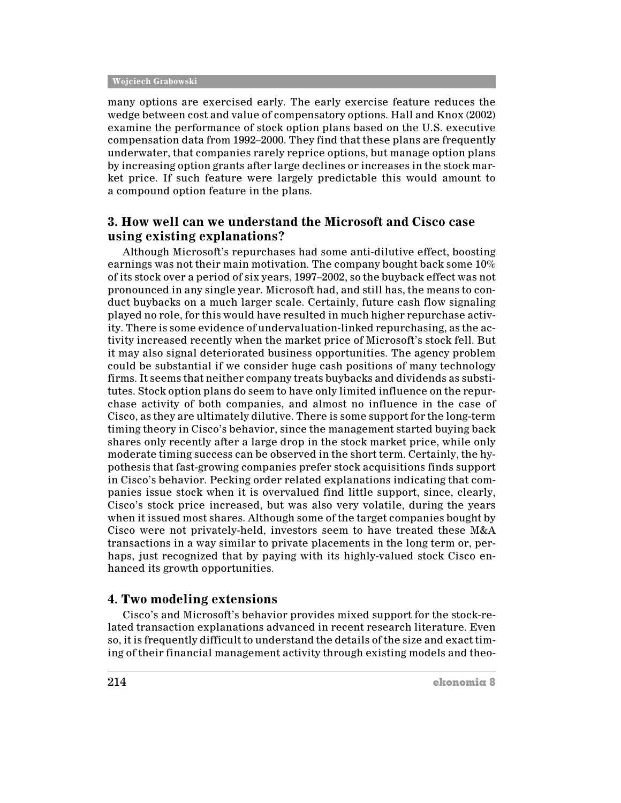many options are exercised early. The early exercise feature reduces the wedge between cost and value of compensatory options. Hall and Knox (2002) examine the performance of stock option plans based on the U.S. executive compensation data from 1992–2000. They find that these plans are frequently underwater, that companies rarely reprice options, but manage option plans by increasing option grants after large declines or increases in the stock market price. If such feature were largely predictable this would amount to a compound option feature in the plans.

## 3. How well can we understand the Microsoft and Cisco case using existing explanations?

Although Microsoft's repurchases had some anti-dilutive effect, boosting earnings was not their main motivation. The company bought back some  $10\%$ of its stock over a period of six years, 1997–2002, so the buyback effect was not pronounced in any single year. Microsoft had, and still has, the means to conduct buybacks on a much larger scale. Certainly, future cash flow signaling played no role, for this would have resulted in much higher repurchase activity. There is some evidence of undervaluation-linked repurchasing, as the activity increased recently when the market price of Microsoft's stock fell. But it may also signal deteriorated business opportunities. The agency problem could be substantial if we consider huge cash positions of many technology firms. It seems that neither company treats buybacks and dividends as substitutes. Stock option plans do seem to have only limited influence on the repurchase activity of both companies, and almost no influence in the case of Cisco, as they are ultimately dilutive. There is some support for the long-term timing theory in Cisco's behavior, since the management started buying back shares only recently after a large drop in the stock market price, while only moderate timing success can be observed in the short term. Certainly, the hypothesis that fast-growing companies prefer stock acquisitions finds support in Cisco's behavior. Pecking order related explanations indicating that companies issue stock when it is overvalued find little support, since, clearly, Cisco's stock price increased, but was also very volatile, during the years when it issued most shares. Although some of the target companies bought by Cisco were not privately-held, investors seem to have treated these M&A transactions in a way similar to private placements in the long term or, perhaps, just recognized that by paying with its highly-valued stock Cisco enhanced its growth opportunities.

## 4. Two modeling extensions

Cisco's and Microsoft's behavior provides mixed support for the stock-related transaction explanations advanced in recent research literature. Even so, it is frequently difficult to understand the details of the size and exact timing of their financial management activity through existing models and theo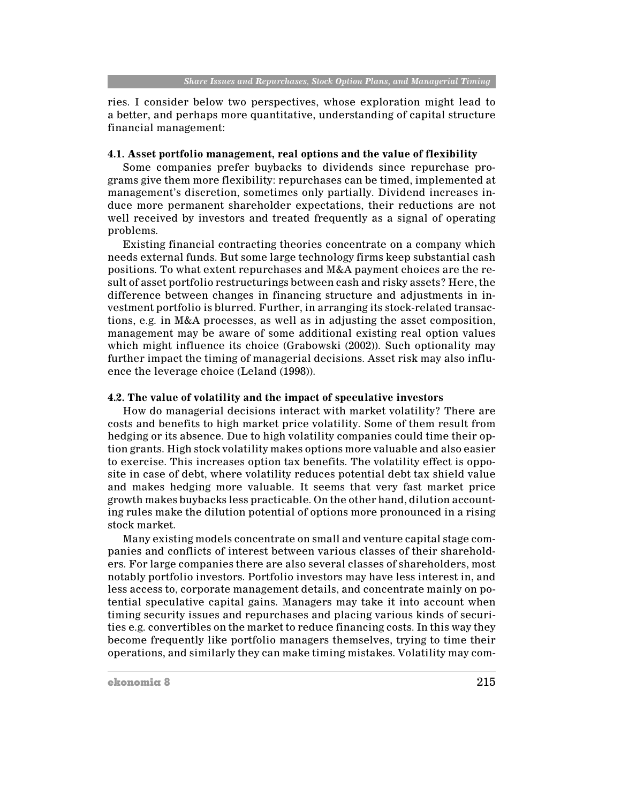ries. I consider below two perspectives, whose exploration might lead to a better, and perhaps more quantitative, understanding of capital structure financial management:

#### 4.1. Asset portfolio management, real options and the value of flexibility

Some companies prefer buybacks to dividends since repurchase programs give them more flexibility: repurchases can be timed, implemented at management's discretion, sometimes only partially. Dividend increases induce more permanent shareholder expectations, their reductions are not well received by investors and treated frequently as a signal of operating problems.

Existing financial contracting theories concentrate on a company which needs external funds. But some large technology firms keep substantial cash positions. To what extent repurchases and M&A payment choices are the result of asset portfolio restructurings between cash and risky assets? Here, the difference between changes in financing structure and adjustments in investment portfolio is blurred. Further, in arranging its stock-related transactions, e.g. in M&A processes, as well as in adjusting the asset composition, management may be aware of some additional existing real option values which might influence its choice (Grabowski (2002)). Such optionality may further impact the timing of managerial decisions. Asset risk may also influence the leverage choice (Leland (1998)).

## 4.2. The value of volatility and the impact of speculative investors

How do managerial decisions interact with market volatility? There are costs and benefits to high market price volatility. Some of them result from hedging or its absence. Due to high volatility companies could time their option grants. High stock volatility makes options more valuable and also easier to exercise. This increases option tax benefits. The volatility effect is opposite in case of debt, where volatility reduces potential debt tax shield value and makes hedging more valuable. It seems that very fast market price growth makes buybacks less practicable. On the other hand, dilution accounting rules make the dilution potential of options more pronounced in a rising stock market.

Many existing models concentrate on small and venture capital stage companies and conflicts of interest between various classes of their shareholders. For large companies there are also several classes of shareholders, most notably portfolio investors. Portfolio investors may have less interest in, and less access to, corporate management details, and concentrate mainly on potential speculative capital gains. Managers may take it into account when timing security issues and repurchases and placing various kinds of securities e.g. convertibles on the market to reduce financing costs. In this way they become frequently like portfolio managers themselves, trying to time their operations, and similarly they can make timing mistakes. Volatility may com-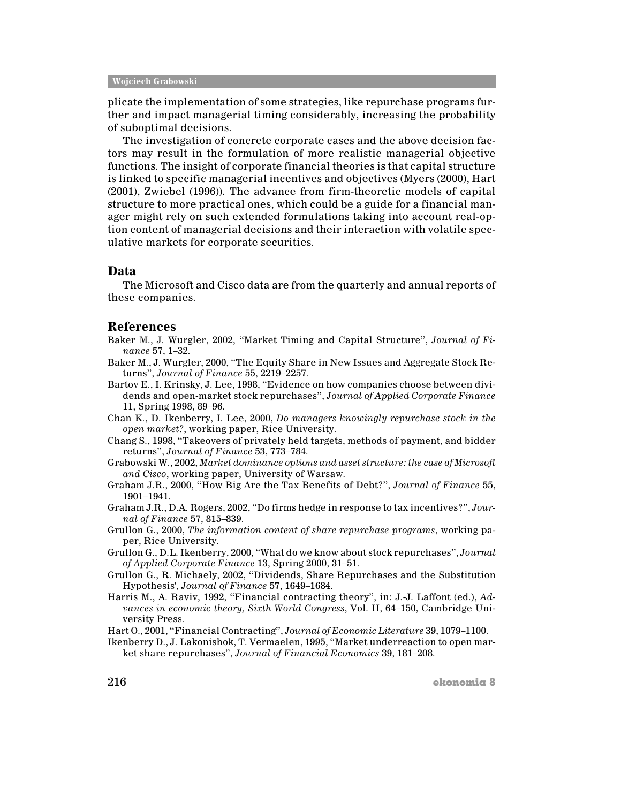plicate the implementation of some strategies, like repurchase programs further and impact managerial timing considerably, increasing the probability of suboptimal decisions.

The investigation of concrete corporate cases and the above decision factors may result in the formulation of more realistic managerial objective functions. The insight of corporate financial theories is that capital structure is linked to specific managerial incentives and objectives (Myers (2000), Hart (2001), Zwiebel (1996)). The advance from firm-theoretic models of capital structure to more practical ones, which could be a guide for a financial manager might rely on such extended formulations taking into account real-option content of managerial decisions and their interaction with volatile speculative markets for corporate securities.

## Data

The Microsoft and Cisco data are from the quarterly and annual reports of these companies.

## **References**

Baker M., J. Wurgler, 2002, "Market Timing and Capital Structure", Journal of Finance 57, 1-32.

- Baker M., J. Wurgler, 2000, "The Equity Share in New Issues and Aggregate Stock Returns", Journal of Finance 55, 2219-2257.
- Bartov E., I. Krinsky, J. Lee, 1998, "Evidence on how companies choose between dividends and open-market stock repurchases", Journal of Applied Corporate Finance 11, Spring 1998, 89-96.
- Chan K., D. Ikenberry, I. Lee, 2000, Do managers knowingly repurchase stock in the open market?, working paper, Rice University.
- Chang S., 1998, "Takeovers of privately held targets, methods of payment, and bidder returns", Journal of Finance 53, 773-784.

Grabowski W., 2002, Market dominance options and asset structure: the case of Microsoft and Cisco, working paper, University of Warsaw.

- Graham J.R., 2000, "How Big Are the Tax Benefits of Debt?", Journal of Finance 55, 1901-1941.
- Graham J.R., D.A. Rogers, 2002, "Do firms hedge in response to tax incentives?", Journal of Finance 57, 815-839.
- Grullon G., 2000, The information content of share repurchase programs, working paper, Rice University.
- Grullon G., D.L. Ikenberry, 2000, "What do we know about stock repurchases", Journal of Applied Corporate Finance 13, Spring 2000, 31-51.
- Grullon G., R. Michaely, 2002, "Dividends, Share Repurchases and the Substitution Hypothesis', Journal of Finance 57, 1649-1684.
- Harris M., A. Raviv, 1992, "Financial contracting theory", in: J.-J. Laffont (ed.), Advances in economic theory, Sixth World Congress, Vol. II, 64-150, Cambridge University Press.

Hart O., 2001, "Financial Contracting", Journal of Economic Literature 39, 1079-1100.

Ikenberry D., J. Lakonishok, T. Vermaelen, 1995, "Market underreaction to open market share repurchases", Journal of Financial Economics 39, 181-208.